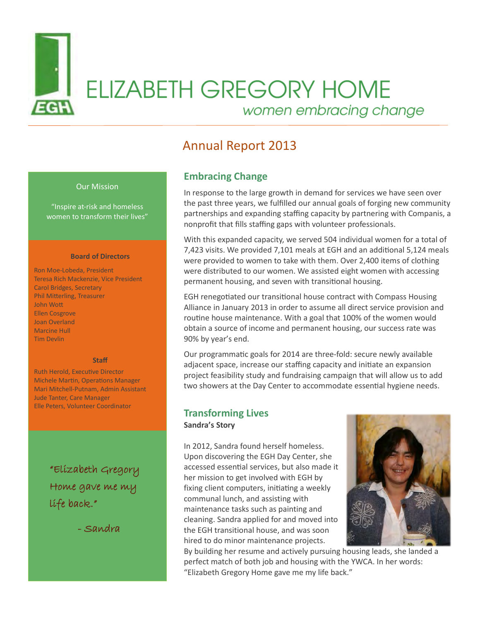

# **ELIZABETH GREGORY HOME** women embracing change

# Annual Report 2013

### Our Mission

"Inspire at-risk and homeless women to transform their lives"

#### **Board of Directors**

Ron Moe-Lobeda, President Teresa Rich Mackenzie, Vice President Carol Bridges, Secretary Phil Mitterling, Treasurer John Wott Ellen Cosgrove Joan Overland Marcine Hull Tim Devlin

#### **Staff**

Ruth Herold, Executive Director Michele Martin, Operations Manager Mari Mitchell-Putnam, Admin Assistant Jude Tanter, Care Manager Elle Peters, Volunteer Coordinator

> "Elizabeth Gregory Home gave me my life back."

> > - Sandra

# **Embracing Change**

In response to the large growth in demand for services we have seen over the past three years, we fulfilled our annual goals of forging new community partnerships and expanding staffing capacity by partnering with Companis, a nonprofit that fills staffing gaps with volunteer professionals.

With this expanded capacity, we served 504 individual women for a total of 7,423 visits. We provided 7,101 meals at EGH and an additional 5,124 meals were provided to women to take with them. Over 2,400 items of clothing were distributed to our women. We assisted eight women with accessing permanent housing, and seven with transitional housing.

EGH renegotiated our transitional house contract with Compass Housing Alliance in January 2013 in order to assume all direct service provision and routine house maintenance. With a goal that 100% of the women would obtain a source of income and permanent housing, our success rate was 90% by year's end.

Our programmatic goals for 2014 are three-fold: secure newly available adjacent space, increase our staffing capacity and initiate an expansion project feasibility study and fundraising campaign that will allow us to add two showers at the Day Center to accommodate essential hygiene needs.

# **Transforming Lives**

**Sandra's Story**

In 2012, Sandra found herself homeless. Upon discovering the EGH Day Center, she accessed essential services, but also made it her mission to get involved with EGH by fixing client computers, initiating a weekly communal lunch, and assisting with maintenance tasks such as painting and cleaning. Sandra applied for and moved into the EGH transitional house, and was soon hired to do minor maintenance projects.



By building her resume and actively pursuing housing leads, she landed a perfect match of both job and housing with the YWCA. In her words: "Elizabeth Gregory Home gave me my life back."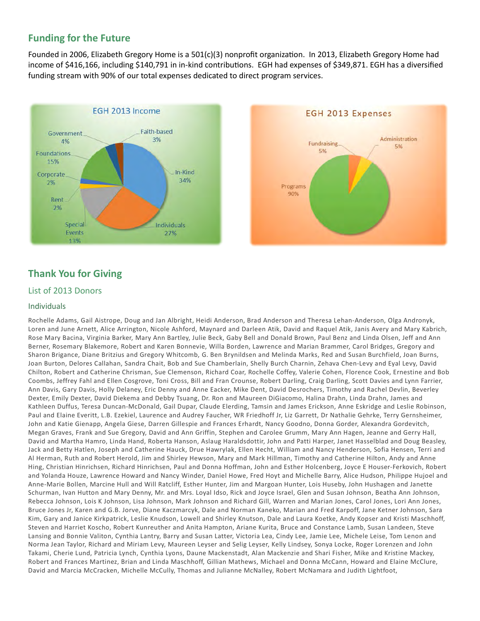# **Funding for the Future**

Founded in 2006, Elizabeth Gregory Home is a 501(c)(3) nonprofit organization. In 2013, Elizabeth Gregory Home had income of \$416,166, including \$140,791 in in-kind contributions. EGH had expenses of \$349,871. EGH has a diversified funding stream with 90% of our total expenses dedicated to direct program services.





# **Thank You for Giving**

# List of 2013 Donors

# Individuals

Rochelle Adams, Gail Aistrope, Doug and Jan Albright, Heidi Anderson, Brad Anderson and Theresa Lehan-Anderson, Olga Andronyk, Loren and June Arnett, Alice Arrington, Nicole Ashford, Maynard and Darleen Atik, David and Raquel Atik, Janis Avery and Mary Kabrich, Rose Mary Bacina, Virginia Barker, Mary Ann Bartley, Julie Beck, Gaby Bell and Donald Brown, Paul Benz and Linda Olsen, Jeff and Ann Berner, Rosemary Blakemore, Robert and Karen Bonnevie, Willa Borden, Lawrence and Marian Brammer, Carol Bridges, Gregory and Sharon Brigance, Diane Britzius and Gregory Whitcomb, G. Ben Brynildsen and Melinda Marks, Red and Susan Burchfield, Joan Burns, Joan Burton, Delores Callahan, Sandra Chait, Bob and Sue Chamberlain, Shelly Burch Charnin, Zehava Chen-Levy and Eyal Levy, David Chilton, Robert and Catherine Chrisman, Sue Clemenson, Richard Coar, Rochelle Coffey, Valerie Cohen, Florence Cook, Ernestine and Bob Coombs, Jeffrey Fahl and Ellen Cosgrove, Toni Cross, Bill and Fran Crounse, Robert Darling, Craig Darling, Scott Davies and Lynn Farrier, Ann Davis, Gary Davis, Holly Delaney, Eric Denny and Anne Eacker, Mike Dent, David Desrochers, Timothy and Rachel Devlin, Beverley Dexter, Emily Dexter, David Diekema and Debby Tsuang, Dr. Ron and Maureen DiGiacomo, Halina Drahn, Linda Drahn, James and Kathleen Duffus, Teresa Duncan-McDonald, Gail Dupar, Claude Elerding, Tamsin and James Erickson, Anne Eskridge and Leslie Robinson, Paul and Elaine Everitt, L.B. Ezekiel, Laurence and Audrey Faucher, WR Friedhoff Jr, Liz Garrett, Dr Nathalie Gehrke, Terry Gernsheimer, John and Katie Gienapp, Angela Giese, Darren Gillespie and Frances Erhardt, Nancy Goodno, Donna Gorder, Alexandra Gordevitch, Megan Graves, Frank and Sue Gregory, David and Ann Griffin, Stephen and Carolee Grumm, Mary Ann Hagen, Jeanne and Gerry Hall, David and Martha Hamro, Linda Hand, Roberta Hanson, Aslaug Haraldsdottir, John and Patti Harper, Janet Hasselblad and Doug Beasley, Jack and Betty Hatlen, Joseph and Catherine Hauck, Drue Hawrylak, Ellen Hecht, William and Nancy Henderson, Sofia Hensen, Terri and Al Herman, Ruth and Robert Herold, Jim and Shirley Hewson, Mary and Mark Hillman, Timothy and Catherine Hilton, Andy and Anne Hing, Christian Hinrichsen, Richard Hinrichsen, Paul and Donna Hoffman, John and Esther Holcenberg, Joyce E Houser-Ferkovich, Robert and Yolanda Houze, Lawrence Howard and Nancy Winder, Daniel Howe, Fred Hoyt and Michelle Barry, Alice Hudson, Philippe Hujoel and Anne-Marie Bollen, Marcine Hull and Will Ratcliff, Esther Hunter, Jim and Margoan Hunter, Lois Huseby, John Hushagen and Janette Schurman, Ivan Hutton and Mary Denny, Mr. and Mrs. Loyal Idso, Rick and Joyce Israel, Glen and Susan Johnson, Beatha Ann Johnson, Rebecca Johnson, Lois K Johnson, Lisa Johnson, Mark Johnson and Richard Gill, Warren and Marian Jones, Carol Jones, Lori Ann Jones, Bruce Jones Jr, Karen and G.B. Jorve, Diane Kaczmarcyk, Dale and Norman Kaneko, Marian and Fred Karpoff, Jane Ketner Johnson, Sara Kim, Gary and Janice Kirkpatrick, Leslie Knudson, Lowell and Shirley Knutson, Dale and Laura Koetke, Andy Kopser and Kristi Maschhoff, Steven and Harriet Koscho, Robert Kunreuther and Anita Hampton, Ariane Kurita, Bruce and Constance Lamb, Susan Landeen, Steve Lansing and Bonnie Valiton, Cynthia Lantry, Barry and Susan Latter, Victoria Lea, Cindy Lee, Jamie Lee, Michele Leise, Tom Lenon and Norma Jean Taylor, Richard and Miriam Levy, Maureen Leyser and Selig Leyser, Kelly Lindsey, Sonya Locke, Roger Lorenzen and John Takami, Cherie Lund, Patricia Lynch, Cynthia Lyons, Daune Mackenstadt, Alan Mackenzie and Shari Fisher, Mike and Kristine Mackey, Robert and Frances Martinez, Brian and Linda Maschhoff, Gillian Mathews, Michael and Donna McCann, Howard and Elaine McClure, David and Marcia McCracken, Michelle McCully, Thomas and Julianne McNalley, Robert McNamara and Judith Lightfoot,